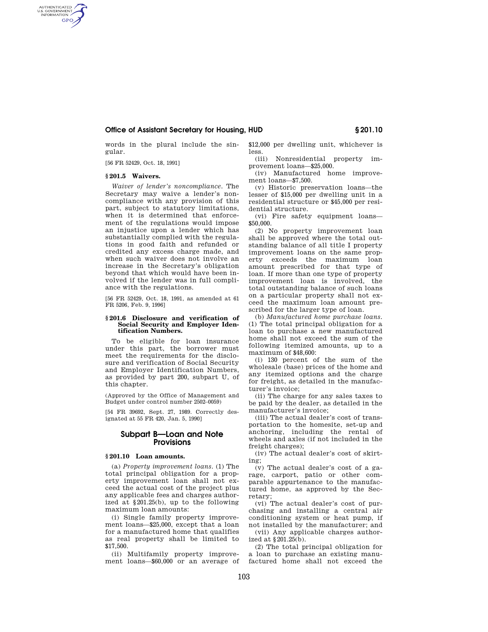# **Office of Assistant Secretary for Housing, HUD § 201.10**

words in the plural include the singular.

[56 FR 52429, Oct. 18, 1991]

### **§ 201.5 Waivers.**

AUTHENTICATED<br>U.S. GOVERNMENT<br>INFORMATION GPO

> *Waiver of lender's noncompliance.* The Secretary may waive a lender's noncompliance with any provision of this part, subject to statutory limitations, when it is determined that enforcement of the regulations would impose an injustice upon a lender which has substantially complied with the regulations in good faith and refunded or credited any excess charge made, and when such waiver does not involve an increase in the Secretary's obligation beyond that which would have been involved if the lender was in full compliance with the regulations.

[56 FR 52429, Oct. 18, 1991, as amended at 61 FR 5206, Feb. 9, 1996]

#### **§ 201.6 Disclosure and verification of Social Security and Employer Identification Numbers.**

To be eligible for loan insurance under this part, the borrower must meet the requirements for the disclosure and verification of Social Security and Employer Identification Numbers, as provided by part 200, subpart U, of this chapter.

(Approved by the Office of Management and Budget under control number 2502–0059)

[54 FR 39692, Sept. 27, 1989. Correctly designated at 55 FR 420, Jan. 5, 1990]

# **Subpart B—Loan and Note Provisions**

#### **§ 201.10 Loan amounts.**

(a) *Property improvement loans.* (1) The total principal obligation for a property improvement loan shall not exceed the actual cost of the project plus any applicable fees and charges authorized at §201.25(b), up to the following maximum loan amounts:

(i) Single family property improvement loans—\$25,000, except that a loan for a manufactured home that qualifies as real property shall be limited to \$17,500.

(ii) Multifamily property improvement loans—\$60,000 or an average of \$12,000 per dwelling unit, whichever is less.

(iii) Nonresidential property improvement loans—\$25,000.

(iv) Manufactured home improvement loans—\$7,500.

(v) Historic preservation loans—the lesser of \$15,000 per dwelling unit in a residential structure or \$45,000 per residential structure.

(vi) Fire safety equipment loans— \$50,000.

(2) No property improvement loan shall be approved where the total outstanding balance of all title I property improvement loans on the same property exceeds the maximum loan amount prescribed for that type of loan. If more than one type of property improvement loan is involved, the total outstanding balance of such loans on a particular property shall not exceed the maximum loan amount prescribed for the larger type of loan.

(b) *Manufactured home purchase loans.*  (1) The total principal obligation for a loan to purchase a new manufactured home shall not exceed the sum of the following itemized amounts, up to a maximum of \$48,600:

(i) 130 percent of the sum of the wholesale (base) prices of the home and any itemized options and the charge for freight, as detailed in the manufacturer's invoice;

(ii) The charge for any sales taxes to be paid by the dealer, as detailed in the manufacturer's invoice;

(iii) The actual dealer's cost of transportation to the homesite, set-up and anchoring, including the rental of wheels and axles (if not included in the freight charges);

(iv) The actual dealer's cost of skirting;

(v) The actual dealer's cost of a garage, carport, patio or other comparable appurtenance to the manufactured home, as approved by the Secretary;

(vi) The actual dealer's cost of purchasing and installing a central air conditioning system or heat pump, if not installed by the manufacturer; and

(vii) Any applicable charges authorized at §201.25(b).

(2) The total principal obligation for a loan to purchase an existing manufactured home shall not exceed the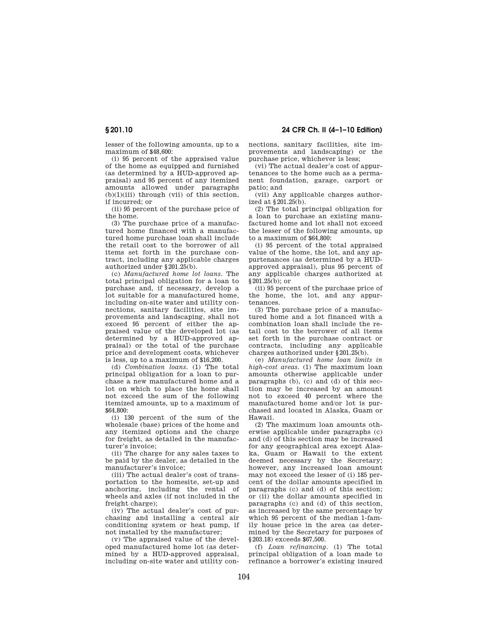lesser of the following amounts, up to a maximum of \$48,600:

(i) 95 percent of the appraised value of the home as equipped and furnished (as determined by a HUD-approved appraisal) and 95 percent of any itemized amounts allowed under paragraphs  $(b)(1)(iii)$  through (vii) of this section, if incurred; or

(ii) 95 percent of the purchase price of the home.

(3) The purchase price of a manufactured home financed with a manufactured home purchase loan shall include the retail cost to the borrower of all items set forth in the purchase contract, including any applicable charges authorized under §201.25(b).

(c) *Manufactured home lot loans.* The total principal obligation for a loan to purchase and, if necessary, develop a lot suitable for a manufactured home, including on-site water and utility connections, sanitary facilities, site improvements and landscaping, shall not exceed 95 percent of either the appraised value of the developed lot (as determined by a HUD-approved appraisal) or the total of the purchase price and development costs, whichever is less, up to a maximum of \$16,200.

(d) *Combination loans.* (1) The total principal obligation for a loan to purchase a new manufactured home and a lot on which to place the home shall not exceed the sum of the following itemized amounts, up to a maximum of \$64,800:

(i) 130 percent of the sum of the wholesale (base) prices of the home and any itemized options and the charge for freight, as detailed in the manufacturer's invoice;

(ii) The charge for any sales taxes to be paid by the dealer, as detailed in the manufacturer's invoice;

(iii) The actual dealer's cost of transportation to the homesite, set-up and anchoring, including the rental of wheels and axles (if not included in the freight charge);

(iv) The actual dealer's cost of purchasing and installing a central air conditioning system or heat pump, if not installed by the manufacturer;

(v) The appraised value of the developed manufactured home lot (as determined by a HUD-approved appraisal, including on-site water and utility connections, sanitary facilities, site improvements and landscaping) or the purchase price, whichever is less;

(vi) The actual dealer's cost of appurtenances to the home such as a permanent foundation, garage, carport or patio; and

(vii) Any applicable charges authorized at §201.25(b).

(2) The total principal obligation for a loan to purchase an existing manufactured home and lot shall not exceed the lesser of the following amounts, up to a maximum of \$64,800:

(i) 95 percent of the total appraised value of the home, the lot, and any appurtenances (as determined by a HUDapproved appraisal), plus 95 percent of any applicable charges authorized at  $$201.25(b):$  or

(ii) 95 percent of the purchase price of the home, the lot, and any appurtenances

(3) The purchase price of a manufactured home and a lot financed with a combination loan shall include the retail cost to the borrower of all items set forth in the purchase contract or contracts, including any applicable charges authorized under §201.25(b).

(e) *Manufactured home loan limits in high-cost areas.* (1) The maximum loan amounts otherwise applicable under paragraphs (b), (c) and (d) of this section may be increased by an amount not to exceed 40 percent where the manufactured home and/or lot is purchased and located in Alaska, Guam or Hawaii.

(2) The maximum loan amounts otherwise applicable under paragraphs (c) and (d) of this section may be increased for any geographical area except Alaska, Guam or Hawaii to the extent deemed necessary by the Secretary; however, any increased loan amount may not exceed the lesser of (i) 185 percent of the dollar amounts specified in paragraphs (c) and (d) of this section; or (ii) the dollar amounts specified in paragraphs (c) and (d) of this section, as increased by the same percentage by which 95 percent of the median 1-family house price in the area (as determined by the Secretary for purposes of §203.18) exceeds \$67,500.

(f) *Loan refinancing.* (1) The total principal obligation of a loan made to refinance a borrower's existing insured